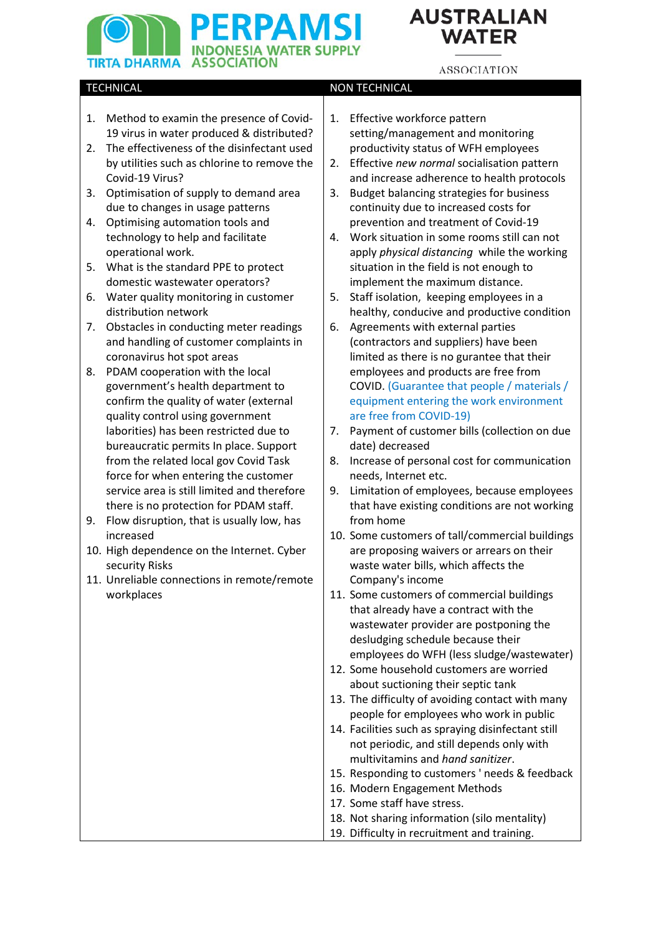# **ERPAMS INDONESIA WATER SUPPLY TIRTA DHARMA ASSOCIATION**

# **AUSTRALIAN WATER**

# **ASSOCIATION**

# TECHNICAL **NON TECHNICAL NON TECHNICAL**

- 1. Method to examin the presence of Covid-19 virus in water produced & distributed?
- 2. The effectiveness of the disinfectant used by utilities such as chlorine to remove the Covid-19 Virus?
- 3. Optimisation of supply to demand area due to changes in usage patterns
- 4. Optimising automation tools and technology to help and facilitate operational work.
- 5. What is the standard PPE to protect domestic wastewater operators?
- 6. Water quality monitoring in customer distribution network
- 7. Obstacles in conducting meter readings and handling of customer complaints in coronavirus hot spot areas
- 8. PDAM cooperation with the local government's health department to confirm the quality of water (external quality control using government laborities) has been restricted due to bureaucratic permits In place. Support from the related local gov Covid Task force for when entering the customer service area is still limited and therefore there is no protection for PDAM staff.
- 9. Flow disruption, that is usually low, has increased
- 10. High dependence on the Internet. Cyber security Risks
- 11. Unreliable connections in remote/remote workplaces
- 1. Effective workforce pattern setting/management and monitoring productivity status of WFH employees
- 2. Effective *new normal* socialisation pattern and increase adherence to health protocols
- 3. Budget balancing strategies for business continuity due to increased costs for prevention and treatment of Covid-19
- 4. Work situation in some rooms still can not apply *physical distancing* while the working situation in the field is not enough to implement the maximum distance.
- 5. Staff isolation, keeping employees in a healthy, conducive and productive condition
- 6. Agreements with external parties (contractors and suppliers) have been limited as there is no gurantee that their employees and products are free from COVID. (Guarantee that people / materials / equipment entering the work environment are free from COVID-19)
- 7. Payment of customer bills (collection on due date) decreased
- 8. Increase of personal cost for communication needs, Internet etc.
- 9. Limitation of employees, because employees that have existing conditions are not working from home
- 10. Some customers of tall/commercial buildings are proposing waivers or arrears on their waste water bills, which affects the Company's income
- 11. Some customers of commercial buildings that already have a contract with the wastewater provider are postponing the desludging schedule because their employees do WFH (less sludge/wastewater)
- 12. Some household customers are worried about suctioning their septic tank
- 13. The difficulty of avoiding contact with many people for employees who work in public
- 14. Facilities such as spraying disinfectant still not periodic, and still depends only with multivitamins and *hand sanitizer*.
- 15. Responding to customers ' needs & feedback
- 16. Modern Engagement Methods
- 17. Some staff have stress.
- 18. Not sharing information (silo mentality)
- 19. Difficulty in recruitment and training.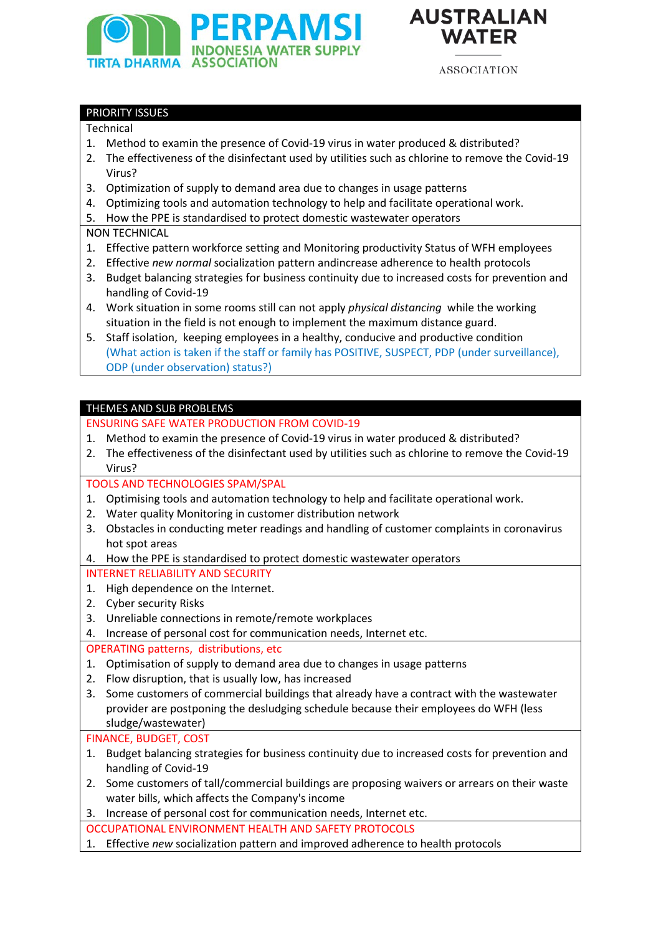



**ASSOCIATION** 

## PRIORITY ISSUES

#### Technical

- 1. Method to examin the presence of Covid-19 virus in water produced & distributed?
- 2. The effectiveness of the disinfectant used by utilities such as chlorine to remove the Covid-19 Virus?
- 3. Optimization of supply to demand area due to changes in usage patterns
- 4. Optimizing tools and automation technology to help and facilitate operational work.
- 5. How the PPE is standardised to protect domestic wastewater operators

## NON TECHNICAL

- 1. Effective pattern workforce setting and Monitoring productivity Status of WFH employees
- 2. Effective *new normal* socialization pattern andincrease adherence to health protocols
- 3. Budget balancing strategies for business continuity due to increased costs for prevention and handling of Covid-19
- 4. Work situation in some rooms still can not apply *physical distancing* while the working situation in the field is not enough to implement the maximum distance guard.
- 5. Staff isolation, keeping employees in a healthy, conducive and productive condition (What action is taken if the staff or family has POSITIVE, SUSPECT, PDP (under surveillance), ODP (under observation) status?)

## THEMES AND SUB PROBLEMS

#### ENSURING SAFE WATER PRODUCTION FROM COVID-19

- 1. Method to examin the presence of Covid-19 virus in water produced & distributed?
- 2. The effectiveness of the disinfectant used by utilities such as chlorine to remove the Covid-19 Virus?

## TOOLS AND TECHNOLOGIES SPAM/SPAL

- 1. Optimising tools and automation technology to help and facilitate operational work.
- 2. Water quality Monitoring in customer distribution network
- 3. Obstacles in conducting meter readings and handling of customer complaints in coronavirus hot spot areas
- 4. How the PPE is standardised to protect domestic wastewater operators

INTERNET RELIABILITY AND SECURITY

- 1. High dependence on the Internet.
- 2. Cyber security Risks
- 3. Unreliable connections in remote/remote workplaces
- 4. Increase of personal cost for communication needs, Internet etc.

## OPERATING patterns, distributions, etc

- 1. Optimisation of supply to demand area due to changes in usage patterns
- 2. Flow disruption, that is usually low, has increased
- 3. Some customers of commercial buildings that already have a contract with the wastewater provider are postponing the desludging schedule because their employees do WFH (less sludge/wastewater)

#### FINANCE, BUDGET, COST

- 1. Budget balancing strategies for business continuity due to increased costs for prevention and handling of Covid-19
- 2. Some customers of tall/commercial buildings are proposing waivers or arrears on their waste water bills, which affects the Company's income
- 3. Increase of personal cost for communication needs, Internet etc.
- OCCUPATIONAL ENVIRONMENT HEALTH AND SAFETY PROTOCOLS
- 1. Effective *new* socialization pattern and improved adherence to health protocols